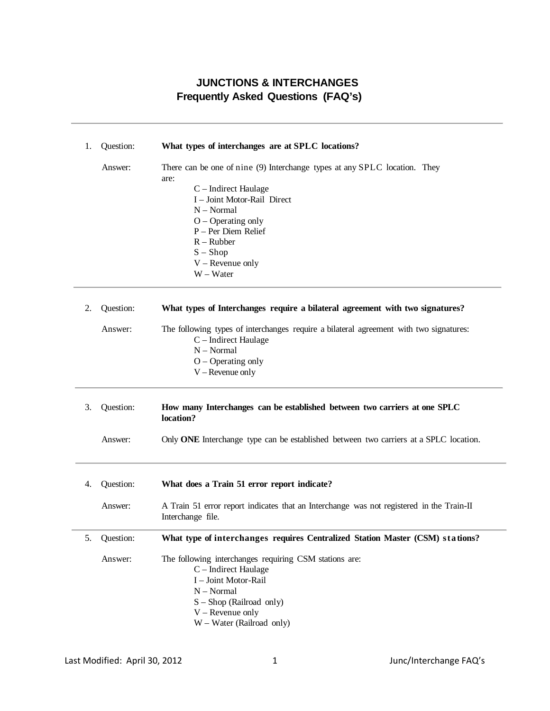## **JUNCTIONS & INTERCHANGES Frequently Asked Questions (FAQ's)**

| 1. | Question: | What types of interchanges are at SPLC locations?                                                             |
|----|-----------|---------------------------------------------------------------------------------------------------------------|
|    | Answer:   | There can be one of nine (9) Interchange types at any SPLC location. They<br>are:                             |
|    |           | C – Indirect Haulage                                                                                          |
|    |           | I - Joint Motor-Rail Direct                                                                                   |
|    |           | $N - Normal$                                                                                                  |
|    |           | $O - Operating$ only                                                                                          |
|    |           | P - Per Diem Relief                                                                                           |
|    |           | $R - Rubber$                                                                                                  |
|    |           | $S - Shop$                                                                                                    |
|    |           | $V$ – Revenue only                                                                                            |
|    |           | W - Water                                                                                                     |
| 2. | Question: | What types of Interchanges require a bilateral agreement with two signatures?                                 |
|    |           |                                                                                                               |
|    | Answer:   | The following types of interchanges require a bilateral agreement with two signatures:                        |
|    |           | C - Indirect Haulage                                                                                          |
|    |           | $N - Normal$                                                                                                  |
|    |           | $O - Operating$ only                                                                                          |
|    |           | $V$ – Revenue only                                                                                            |
| 3. | Question: | How many Interchanges can be established between two carriers at one SPLC<br>location?                        |
|    | Answer:   | Only ONE Interchange type can be established between two carriers at a SPLC location.                         |
| 4. | Question: | What does a Train 51 error report indicate?                                                                   |
|    | Answer:   | A Train 51 error report indicates that an Interchange was not registered in the Train-II<br>Interchange file. |
| 5. | Question: | What type of interchanges requires Centralized Station Master (CSM) stations?                                 |
|    | Answer:   | The following interchanges requiring CSM stations are:<br>C - Indirect Haulage<br>I - Joint Motor-Rail        |
|    |           | $N - Normal$                                                                                                  |
|    |           | $S -$ Shop (Railroad only)                                                                                    |
|    |           | $V$ – Revenue only                                                                                            |
|    |           | W - Water (Railroad only)                                                                                     |
|    |           |                                                                                                               |